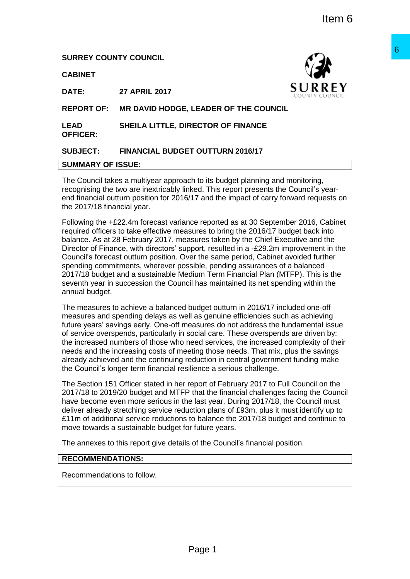# **SURREY COUNTY COUNCIL**

**CABINET**



**DATE: 27 APRIL 2017**

**REPORT OF: MR DAVID HODGE, LEADER OF THE COUNCIL**

**LEAD OFFICER: SHEILA LITTLE, DIRECTOR OF FINANCE**

# **SUBJECT: FINANCIAL BUDGET OUTTURN 2016/17**

#### **SUMMARY OF ISSUE:**

The Council takes a multiyear approach to its budget planning and monitoring, recognising the two are inextricably linked. This report presents the Council's yearend financial outturn position for 2016/17 and the impact of carry forward requests on the 2017/18 financial year.

Following the +£22.4m forecast variance reported as at 30 September 2016, Cabinet required officers to take effective measures to bring the 2016/17 budget back into balance. As at 28 February 2017, measures taken by the Chief Executive and the Director of Finance, with directors' support, resulted in a -£29.2m improvement in the Council's forecast outturn position. Over the same period, Cabinet avoided further spending commitments, wherever possible, pending assurances of a balanced 2017/18 budget and a sustainable Medium Term Financial Plan (MTFP). This is the seventh year in succession the Council has maintained its net spending within the annual budget. **EXERCISE CONSUMBER CONSUMBER 1998**<br>
SURREY<br>
LEADER OF THE COUNCIL<br>
RECTOR OF FINANCE<br>
IT OUTTURN 2016/17<br>
The this theory presents the Council's year-<br>
May This report presents the Council's year-<br>
May This report of carr

The measures to achieve a balanced budget outturn in 2016/17 included one-off measures and spending delays as well as genuine efficiencies such as achieving future years' savings early. One-off measures do not address the fundamental issue of service overspends, particularly in social care. These overspends are driven by: the increased numbers of those who need services, the increased complexity of their needs and the increasing costs of meeting those needs. That mix, plus the savings already achieved and the continuing reduction in central government funding make the Council's longer term financial resilience a serious challenge.

The Section 151 Officer stated in her report of February 2017 to Full Council on the 2017/18 to 2019/20 budget and MTFP that the financial challenges facing the Council have become even more serious in the last year. During 2017/18, the Council must deliver already stretching service reduction plans of £93m, plus it must identify up to £11m of additional service reductions to balance the 2017/18 budget and continue to move towards a sustainable budget for future years.

The annexes to this report give details of the Council's financial position.

# **RECOMMENDATIONS:**

Recommendations to follow.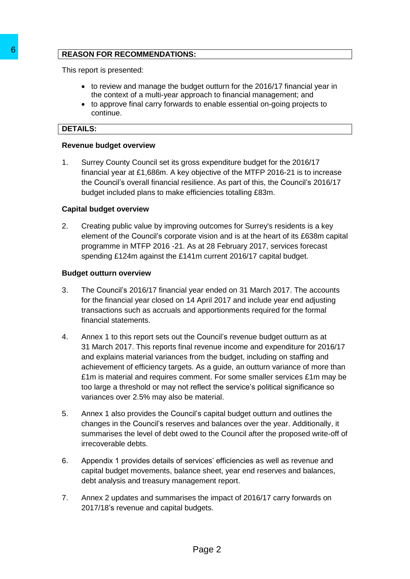# **REASON FOR RECOMMENDATIONS:**

This report is presented:

- to review and manage the budget outturn for the 2016/17 financial year in the context of a multi-year approach to financial management; and
- to approve final carry forwards to enable essential on-going projects to continue.

# **DETAILS:**

#### **Revenue budget overview**

1. Surrey County Council set its gross expenditure budget for the 2016/17 financial year at £1,686m. A key objective of the MTFP 2016-21 is to increase the Council's overall financial resilience. As part of this, the Council's 2016/17 budget included plans to make efficiencies totalling £83m.

# **Capital budget overview**

2. Creating public value by improving outcomes for Surrey's residents is a key element of the Council's corporate vision and is at the heart of its £638m capital programme in MTFP 2016 -21. As at 28 February 2017, services forecast spending £124m against the £141m current 2016/17 capital budget.

# **Budget outturn overview**

- 3. The Council's 2016/17 financial year ended on 31 March 2017. The accounts for the financial year closed on 14 April 2017 and include year end adjusting transactions such as accruals and apportionments required for the formal financial statements.
- 4. Annex 1 to this report sets out the Council's revenue budget outturn as at 31 March 2017. This reports final revenue income and expenditure for 2016/17 and explains material variances from the budget, including on staffing and achievement of efficiency targets. As a guide, an outturn variance of more than £1m is material and requires comment. For some smaller services £1m may be too large a threshold or may not reflect the service's political significance so variances over 2.5% may also be material. **EXERISON FOR RECOMMENDATIONS:**<br>
This report is presented:<br>
the context of a manage the budget outtine the context of a manage the budget outer the context of a manage the budget out the context of a manage the budget over
	- 5. Annex 1 also provides the Council's capital budget outturn and outlines the changes in the Council's reserves and balances over the year. Additionally, it summarises the level of debt owed to the Council after the proposed write-off of irrecoverable debts.
	- 6. Appendix 1 provides details of services' efficiencies as well as revenue and capital budget movements, balance sheet, year end reserves and balances, debt analysis and treasury management report.
	- 7. Annex 2 updates and summarises the impact of 2016/17 carry forwards on 2017/18's revenue and capital budgets.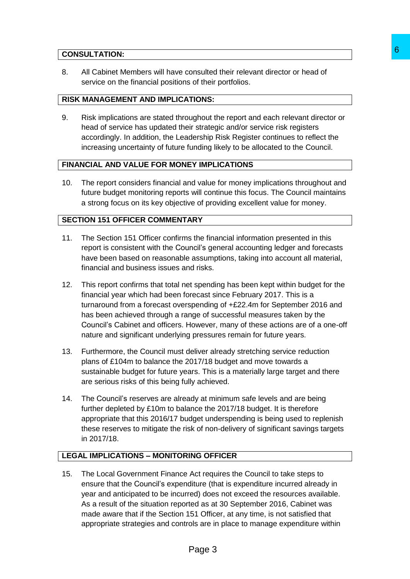# **CONSULTATION:**

8. All Cabinet Members will have consulted their relevant director or head of service on the financial positions of their portfolios.

# **RISK MANAGEMENT AND IMPLICATIONS:**

9. Risk implications are stated throughout the report and each relevant director or head of service has updated their strategic and/or service risk registers accordingly. In addition, the Leadership Risk Register continues to reflect the increasing uncertainty of future funding likely to be allocated to the Council.

# **FINANCIAL AND VALUE FOR MONEY IMPLICATIONS**

10. The report considers financial and value for money implications throughout and future budget monitoring reports will continue this focus. The Council maintains a strong focus on its key objective of providing excellent value for money.

# **SECTION 151 OFFICER COMMENTARY**

- 11. The Section 151 Officer confirms the financial information presented in this report is consistent with the Council's general accounting ledger and forecasts have been based on reasonable assumptions, taking into account all material, financial and business issues and risks.
- 12. This report confirms that total net spending has been kept within budget for the financial year which had been forecast since February 2017. This is a turnaround from a forecast overspending of +£22.4m for September 2016 and has been achieved through a range of successful measures taken by the Council's Cabinet and officers. However, many of these actions are of a one-off nature and significant underlying pressures remain for future years. **6**<br> **Example 10**<br> **Example 10**<br> **Example 10**<br> **Example 10**<br> **Example 10**<br> **Example 10**<br> **Example 10**<br> **Example 10**<br> **Example 10**<br> **Example 10**<br> **Example 10**<br> **Example 10**<br> **Example 10**<br> **Example 10**<br> **Example 10**<br> **Exampl**
- 13. Furthermore, the Council must deliver already stretching service reduction plans of £104m to balance the 2017/18 budget and move towards a sustainable budget for future years. This is a materially large target and there are serious risks of this being fully achieved.
- 14. The Council's reserves are already at minimum safe levels and are being further depleted by £10m to balance the 2017/18 budget. It is therefore appropriate that this 2016/17 budget underspending is being used to replenish these reserves to mitigate the risk of non-delivery of significant savings targets in 2017/18.

# **LEGAL IMPLICATIONS – MONITORING OFFICER**

15. The Local Government Finance Act requires the Council to take steps to ensure that the Council's expenditure (that is expenditure incurred already in year and anticipated to be incurred) does not exceed the resources available. As a result of the situation reported as at 30 September 2016, Cabinet was made aware that if the Section 151 Officer, at any time, is not satisfied that appropriate strategies and controls are in place to manage expenditure within